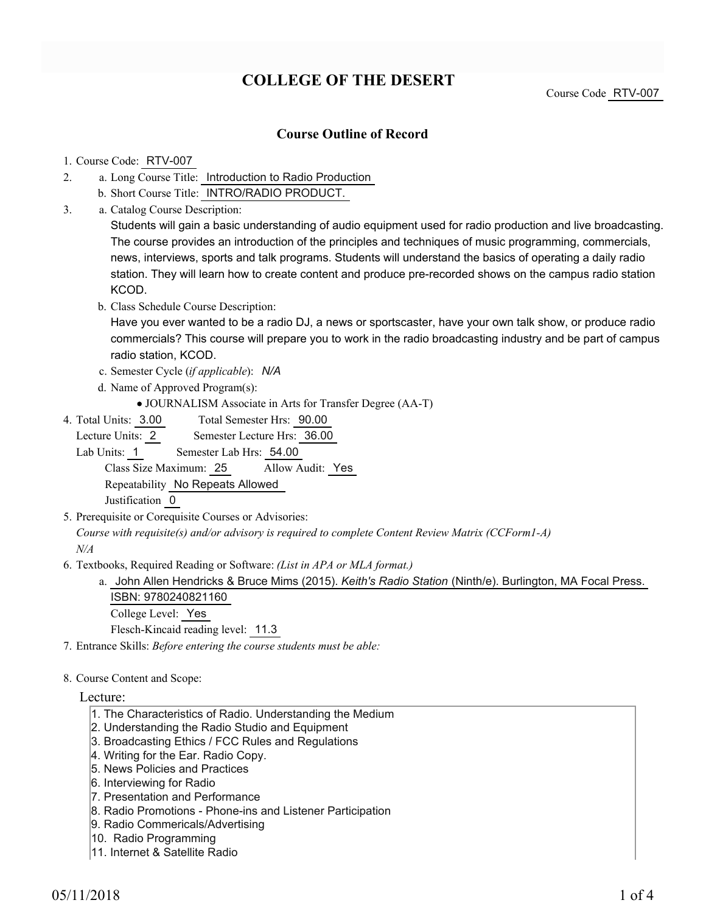# **COLLEGE OF THE DESERT**

Course Code RTV-007

## **Course Outline of Record**

#### 1. Course Code: RTV-007

- a. Long Course Title: Introduction to Radio Production 2.
	- b. Short Course Title: INTRO/RADIO PRODUCT.
- Catalog Course Description: a. 3.

Students will gain a basic understanding of audio equipment used for radio production and live broadcasting. The course provides an introduction of the principles and techniques of music programming, commercials, news, interviews, sports and talk programs. Students will understand the basics of operating a daily radio station. They will learn how to create content and produce pre-recorded shows on the campus radio station KCOD.

b. Class Schedule Course Description:

Have you ever wanted to be a radio DJ, a news or sportscaster, have your own talk show, or produce radio commercials? This course will prepare you to work in the radio broadcasting industry and be part of campus radio station, KCOD.

- c. Semester Cycle (*if applicable*): *N/A*
- d. Name of Approved Program(s):
	- JOURNALISM Associate in Arts for Transfer Degree (AA-T)
- Total Semester Hrs: 90.00 4. Total Units: 3.00

Lecture Units: 2 Semester Lecture Hrs: 36.00

Lab Units: 1 Semester Lab Hrs: 54.00

Class Size Maximum: 25 Allow Audit: Yes Repeatability No Repeats Allowed

Justification 0

5. Prerequisite or Corequisite Courses or Advisories:

*Course with requisite(s) and/or advisory is required to complete Content Review Matrix (CCForm1-A) N/A*

Textbooks, Required Reading or Software: *(List in APA or MLA format.)* 6.

a. John Allen Hendricks & Bruce Mims (2015). *Keith's Radio Station* (Ninth/e). Burlington, MA Focal Press. ISBN: 9780240821160 College Level: Yes

Flesch-Kincaid reading level: 11.3

7. Entrance Skills: *Before entering the course students must be able:*

#### 8. Course Content and Scope:

### Lecture:

- 1. The Characteristics of Radio. Understanding the Medium
- 2. Understanding the Radio Studio and Equipment
- 3. Broadcasting Ethics / FCC Rules and Regulations
- 4. Writing for the Ear. Radio Copy.
- 5. News Policies and Practices
- 6. Interviewing for Radio
- 7. Presentation and Performance
- 8. Radio Promotions Phone-ins and Listener Participation
- 9. Radio Commericals/Advertising
- 10. Radio Programming
- 11. Internet & Satellite Radio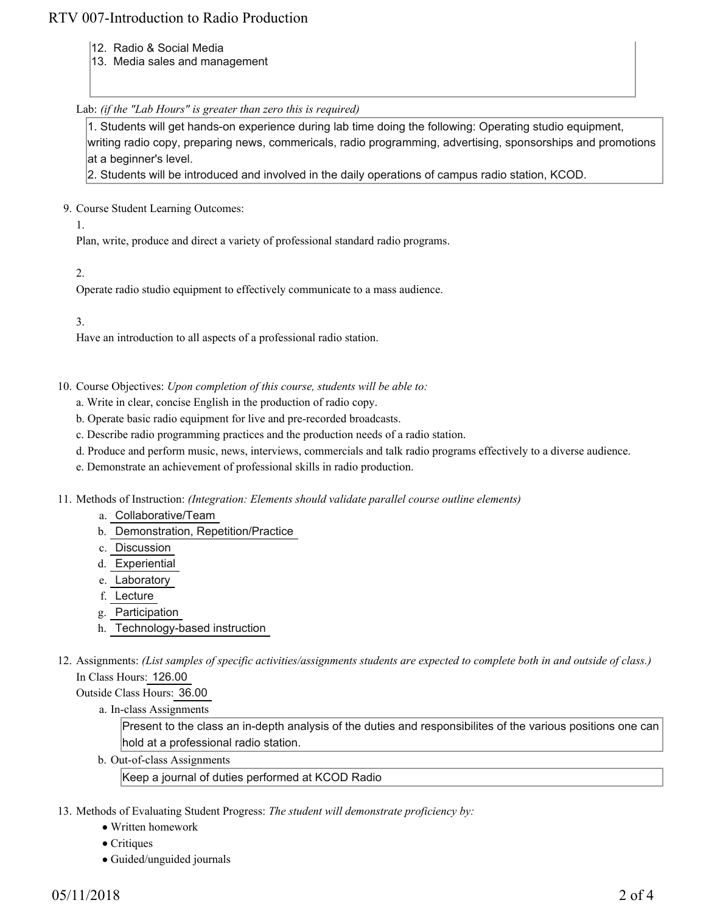# RTV 007-Introduction to Radio Production

- 12. Radio & Social Media
- 13. Media sales and management

### Lab: *(if the "Lab Hours" is greater than zero this is required)*

1. Students will get hands-on experience during lab time doing the following: Operating studio equipment, writing radio copy, preparing news, commericals, radio programming, advertising, sponsorships and promotions at a beginner's level.

2. Students will be introduced and involved in the daily operations of campus radio station, KCOD.

9. Course Student Learning Outcomes:

1.

Plan, write, produce and direct a variety of professional standard radio programs.

2.

Operate radio studio equipment to effectively communicate to a mass audience.

3.

Have an introduction to all aspects of a professional radio station.

- 10. Course Objectives: Upon completion of this course, students will be able to:
	- a. Write in clear, concise English in the production of radio copy.
	- b. Operate basic radio equipment for live and pre-recorded broadcasts.
	- c. Describe radio programming practices and the production needs of a radio station.
	- d. Produce and perform music, news, interviews, commercials and talk radio programs effectively to a diverse audience.
	- e. Demonstrate an achievement of professional skills in radio production.
- 11. Methods of Instruction: *(Integration: Elements should validate parallel course outline elements)* 
	- a. Collaborative/Team
	- b. Demonstration, Repetition/Practice
	- c. Discussion
	- d. Experiential
	- e. Laboratory
	- f. Lecture
	- g. Participation
	- h. Technology-based instruction
- 12. Assignments: (List samples of specific activities/assignments students are expected to complete both in and outside of class.) In Class Hours: 126.00

Outside Class Hours: 36.00

a. In-class Assignments

Present to the class an in-depth analysis of the duties and responsibilites of the various positions one can hold at a professional radio station.

b. Out-of-class Assignments

Keep a journal of duties performed at KCOD Radio

- 13. Methods of Evaluating Student Progress: The student will demonstrate proficiency by:
	- Written homework
	- Critiques
	- Guided/unguided journals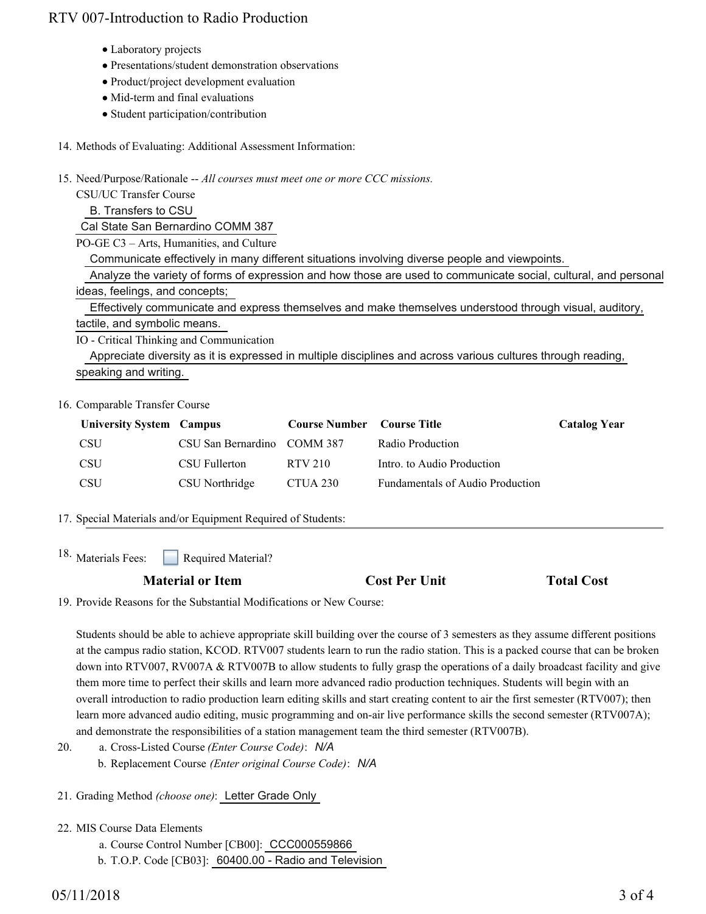# RTV 007-Introduction to Radio Production

- Laboratory projects
- Presentations/student demonstration observations
- Product/project development evaluation
- Mid-term and final evaluations
- Student participation/contribution
- 14. Methods of Evaluating: Additional Assessment Information:

15. Need/Purpose/Rationale -- All courses must meet one or more CCC missions.

CSU/UC Transfer Course B. Transfers to CSU Cal State San Bernardino COMM 387 PO-GE C3 – Arts, Humanities, and Culture Communicate effectively in many different situations involving diverse people and viewpoints. Analyze the variety of forms of expression and how those are used to communicate social, cultural, and personal ideas, feelings, and concepts; Effectively communicate and express themselves and make themselves understood through visual, auditory, tactile, and symbolic means. IO - Critical Thinking and Communication Appreciate diversity as it is expressed in multiple disciplines and across various cultures through reading,

16. Comparable Transfer Course

speaking and writing.

| <b>University System Campus</b> |                             | <b>Course Number</b> Course Title |                                         | <b>Catalog Year</b> |
|---------------------------------|-----------------------------|-----------------------------------|-----------------------------------------|---------------------|
| <b>CSU</b>                      | CSU San Bernardino COMM 387 |                                   | Radio Production                        |                     |
| <b>CSU</b>                      | CSU Fullerton               | RTV 210                           | Intro, to Audio Production              |                     |
| <b>CSU</b>                      | CSU Northridge              | CTUA 230                          | <b>Fundamentals of Audio Production</b> |                     |

17. Special Materials and/or Equipment Required of Students:

Required Material? <sup>18.</sup> Materials Fees:

### **Material or Item Cost Per Unit Total Cost**

19. Provide Reasons for the Substantial Modifications or New Course:

Students should be able to achieve appropriate skill building over the course of 3 semesters as they assume different positions at the campus radio station, KCOD. RTV007 students learn to run the radio station. This is a packed course that can be broken down into RTV007, RV007A & RTV007B to allow students to fully grasp the operations of a daily broadcast facility and give them more time to perfect their skills and learn more advanced radio production techniques. Students will begin with an overall introduction to radio production learn editing skills and start creating content to air the first semester (RTV007); then learn more advanced audio editing, music programming and on-air live performance skills the second semester (RTV007A); and demonstrate the responsibilities of a station management team the third semester (RTV007B).

- a. Cross-Listed Course *(Enter Course Code)*: *N/A* b. Replacement Course *(Enter original Course Code)*: *N/A* 20.
- 21. Grading Method *(choose one)*: Letter Grade Only
- 22. MIS Course Data Elements
	- a. Course Control Number [CB00]: CCC000559866
	- b. T.O.P. Code [CB03]: 60400.00 Radio and Television